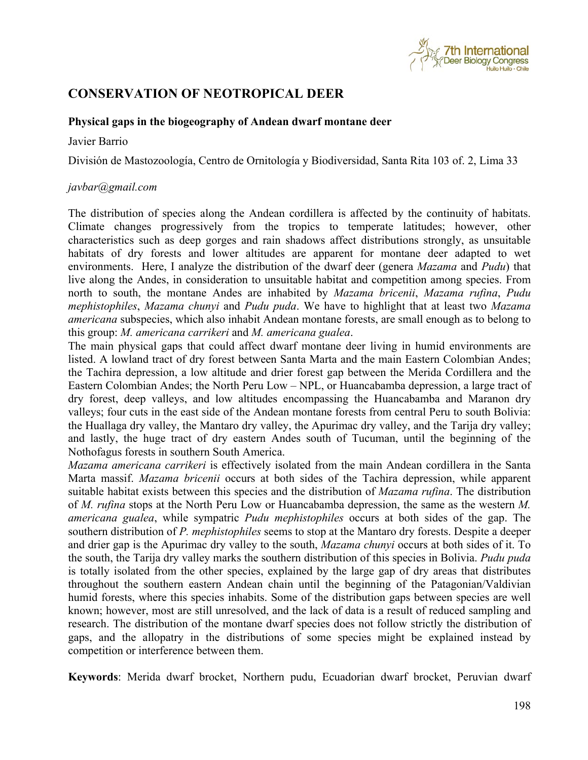

## **CONSERVATION OF NEOTROPICAL DEER**

## **Physical gaps in the biogeography of Andean dwarf montane deer**

## Javier Barrio

División de Mastozoología, Centro de Ornitología y Biodiversidad, Santa Rita 103 of. 2, Lima 33

## *javbar@gmail.com*

The distribution of species along the Andean cordillera is affected by the continuity of habitats. Climate changes progressively from the tropics to temperate latitudes; however, other characteristics such as deep gorges and rain shadows affect distributions strongly, as unsuitable habitats of dry forests and lower altitudes are apparent for montane deer adapted to wet environments. Here, I analyze the distribution of the dwarf deer (genera *Mazama* and *Pudu*) that live along the Andes, in consideration to unsuitable habitat and competition among species. From north to south, the montane Andes are inhabited by *Mazama bricenii*, *Mazama rufina*, *Pudu mephistophiles*, *Mazama chunyi* and *Pudu puda*. We have to highlight that at least two *Mazama americana* subspecies, which also inhabit Andean montane forests, are small enough as to belong to this group: *M. americana carrikeri* and *M. americana gualea*.

The main physical gaps that could affect dwarf montane deer living in humid environments are listed. A lowland tract of dry forest between Santa Marta and the main Eastern Colombian Andes; the Tachira depression, a low altitude and drier forest gap between the Merida Cordillera and the Eastern Colombian Andes; the North Peru Low – NPL, or Huancabamba depression, a large tract of dry forest, deep valleys, and low altitudes encompassing the Huancabamba and Maranon dry valleys; four cuts in the east side of the Andean montane forests from central Peru to south Bolivia: the Huallaga dry valley, the Mantaro dry valley, the Apurimac dry valley, and the Tarija dry valley; and lastly, the huge tract of dry eastern Andes south of Tucuman, until the beginning of the Nothofagus forests in southern South America.

*Mazama americana carrikeri* is effectively isolated from the main Andean cordillera in the Santa Marta massif. *Mazama bricenii* occurs at both sides of the Tachira depression, while apparent suitable habitat exists between this species and the distribution of *Mazama rufina*. The distribution of *M. rufina* stops at the North Peru Low or Huancabamba depression, the same as the western *M. americana gualea*, while sympatric *Pudu mephistophiles* occurs at both sides of the gap. The southern distribution of *P. mephistophiles* seems to stop at the Mantaro dry forests. Despite a deeper and drier gap is the Apurimac dry valley to the south, *Mazama chunyi* occurs at both sides of it. To the south, the Tarija dry valley marks the southern distribution of this species in Bolivia. *Pudu puda* is totally isolated from the other species, explained by the large gap of dry areas that distributes throughout the southern eastern Andean chain until the beginning of the Patagonian/Valdivian humid forests, where this species inhabits. Some of the distribution gaps between species are well known; however, most are still unresolved, and the lack of data is a result of reduced sampling and research. The distribution of the montane dwarf species does not follow strictly the distribution of gaps, and the allopatry in the distributions of some species might be explained instead by competition or interference between them.

**Keywords**: Merida dwarf brocket, Northern pudu, Ecuadorian dwarf brocket, Peruvian dwarf